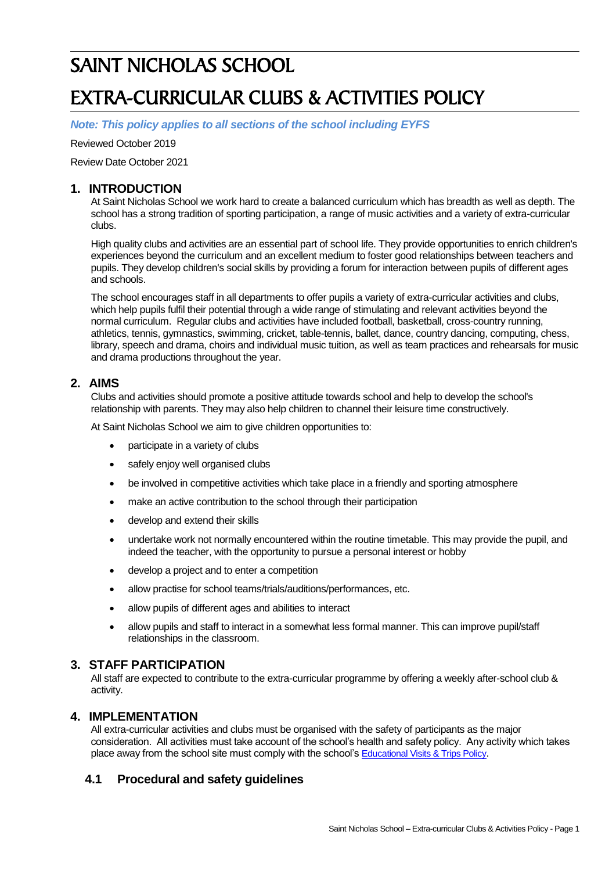# SAINT NICHOLAS SCHOOL EXTRA-CURRICULAR CLUBS & ACTIVITIES POLICY

*Note: This policy applies to all sections of the school including EYFS*

Reviewed October 2019

Review Date October 2021

### **1. INTRODUCTION**

At Saint Nicholas School we work hard to create a balanced curriculum which has breadth as well as depth. The school has a strong tradition of sporting participation, a range of music activities and a variety of extra-curricular clubs.

High quality clubs and activities are an essential part of school life. They provide opportunities to enrich children's experiences beyond the curriculum and an excellent medium to foster good relationships between teachers and pupils. They develop children's social skills by providing a forum for interaction between pupils of different ages and schools.

The school encourages staff in all departments to offer pupils a variety of extra-curricular activities and clubs, which help pupils fulfil their potential through a wide range of stimulating and relevant activities beyond the normal curriculum. Regular clubs and activities have included football, basketball, cross-country running, athletics, tennis, gymnastics, swimming, cricket, table-tennis, ballet, dance, country dancing, computing, chess, library, speech and drama, choirs and individual music tuition, as well as team practices and rehearsals for music and drama productions throughout the year.

### **2. AIMS**

Clubs and activities should promote a positive attitude towards school and help to develop the school's relationship with parents. They may also help children to channel their leisure time constructively.

At Saint Nicholas School we aim to give children opportunities to:

- participate in a variety of clubs
- safely enjoy well organised clubs
- be involved in competitive activities which take place in a friendly and sporting atmosphere
- make an active contribution to the school through their participation
- develop and extend their skills
- undertake work not normally encountered within the routine timetable. This may provide the pupil, and indeed the teacher, with the opportunity to pursue a personal interest or hobby
- develop a project and to enter a competition
- allow practise for school teams/trials/auditions/performances, etc.
- allow pupils of different ages and abilities to interact
- allow pupils and staff to interact in a somewhat less formal manner. This can improve pupil/staff relationships in the classroom.

# **3. STAFF PARTICIPATION**

All staff are expected to contribute to the extra-curricular programme by offering a weekly after-school club & activity.

#### **4. IMPLEMENTATION**

All extra-curricular activities and clubs must be organised with the safety of participants as the major consideration. All activities must take account of the school's health and safety policy. Any activity which takes place away from the school site must comply with the school's [Educational Visits & Trips Policy](http://www.saintnicholasschool.net/policies/Educational%20Visits%20and%20Trips%20Policy.doc).

# **4.1 Procedural and safety guidelines**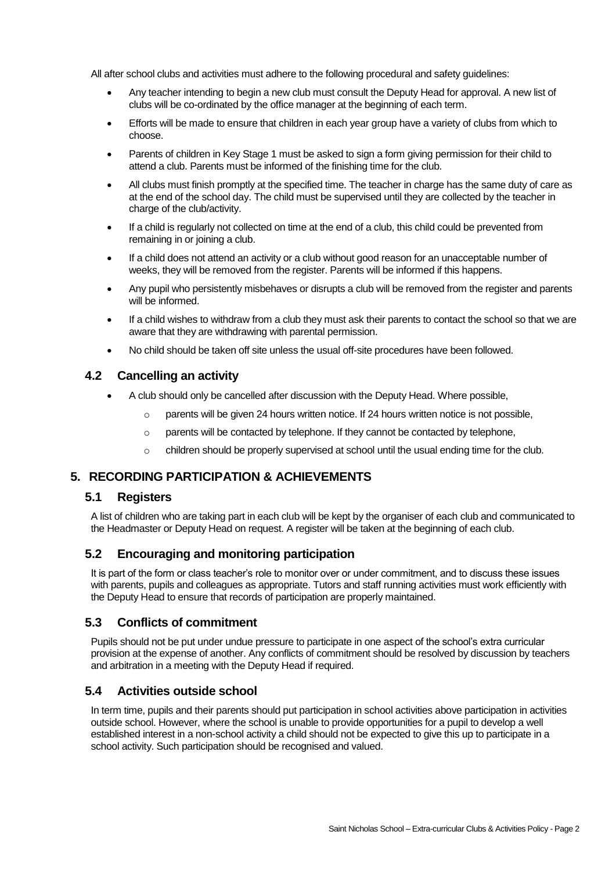All after school clubs and activities must adhere to the following procedural and safety guidelines:

- Any teacher intending to begin a new club must consult the Deputy Head for approval. A new list of clubs will be co-ordinated by the office manager at the beginning of each term.
- Efforts will be made to ensure that children in each year group have a variety of clubs from which to choose.
- Parents of children in Key Stage 1 must be asked to sign a form giving permission for their child to attend a club. Parents must be informed of the finishing time for the club.
- All clubs must finish promptly at the specified time. The teacher in charge has the same duty of care as at the end of the school day. The child must be supervised until they are collected by the teacher in charge of the club/activity.
- If a child is regularly not collected on time at the end of a club, this child could be prevented from remaining in or joining a club.
- If a child does not attend an activity or a club without good reason for an unacceptable number of weeks, they will be removed from the register. Parents will be informed if this happens.
- Any pupil who persistently misbehaves or disrupts a club will be removed from the register and parents will be informed.
- If a child wishes to withdraw from a club they must ask their parents to contact the school so that we are aware that they are withdrawing with parental permission.
- No child should be taken off site unless the usual off-site procedures have been followed.

# **4.2 Cancelling an activity**

- A club should only be cancelled after discussion with the Deputy Head. Where possible,
	- $\circ$  parents will be given 24 hours written notice. If 24 hours written notice is not possible.
	- $\circ$  parents will be contacted by telephone. If they cannot be contacted by telephone,
	- $\circ$  children should be properly supervised at school until the usual ending time for the club.

# **5. RECORDING PARTICIPATION & ACHIEVEMENTS**

#### **5.1 Registers**

A list of children who are taking part in each club will be kept by the organiser of each club and communicated to the Headmaster or Deputy Head on request. A register will be taken at the beginning of each club.

# **5.2 Encouraging and monitoring participation**

It is part of the form or class teacher's role to monitor over or under commitment, and to discuss these issues with parents, pupils and colleagues as appropriate. Tutors and staff running activities must work efficiently with the Deputy Head to ensure that records of participation are properly maintained.

# **5.3 Conflicts of commitment**

Pupils should not be put under undue pressure to participate in one aspect of the school's extra curricular provision at the expense of another. Any conflicts of commitment should be resolved by discussion by teachers and arbitration in a meeting with the Deputy Head if required.

# **5.4 Activities outside school**

In term time, pupils and their parents should put participation in school activities above participation in activities outside school. However, where the school is unable to provide opportunities for a pupil to develop a well established interest in a non-school activity a child should not be expected to give this up to participate in a school activity. Such participation should be recognised and valued.